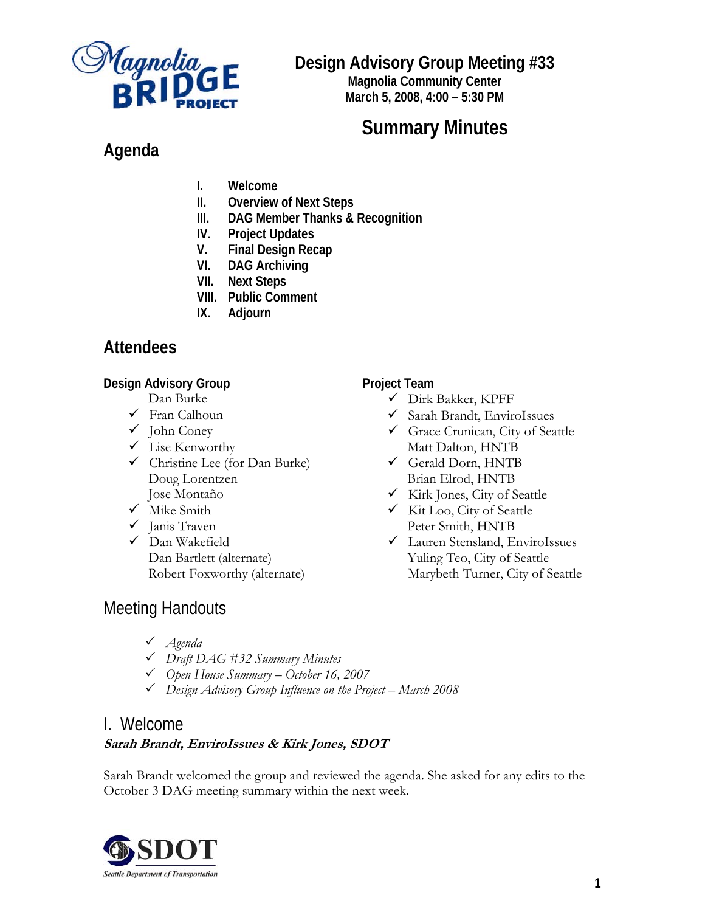

# **Design Advisory Group Meeting #33**

**Magnolia Community Center March 5, 2008, 4:00 – 5:30 PM**

# **Summary Minutes**

# **Agenda**

- **I. Welcome**
- **II. Overview of Next Steps**
- **III. DAG Member Thanks & Recognition**
- **IV. Project Updates**
- **V. Final Design Recap**
- **VI. DAG Archiving**
- **VII. Next Steps**
- **VIII. Public Comment**
- **IX. Adjourn**

# **Attendees**

### **Design Advisory Group**

Dan Burke

- $\checkmark$  Fran Calhoun
- $\checkmark$  John Coney
- $\checkmark$  Lise Kenworthy
- $\checkmark$  Christine Lee (for Dan Burke) Doug Lorentzen Jose Montaño
- $\checkmark$  Mike Smith
- $\checkmark$  Janis Traven
- $\checkmark$  Dan Wakefield Dan Bartlett (alternate) Robert Foxworthy (alternate)

## **Project Team**

- 9 Dirk Bakker, KPFF
- $\checkmark$  Sarah Brandt, EnviroIssues
- Grace Crunican, City of Seattle Matt Dalton, HNTB
- Gerald Dorn, HNTB Brian Elrod, HNTB
- $\checkmark$  Kirk Jones, City of Seattle
- V Kit Loo, City of Seattle Peter Smith, HNTB
- $\checkmark$  Lauren Stensland, EnviroIssues Yuling Teo, City of Seattle Marybeth Turner, City of Seattle

# Meeting Handouts

- 3 *Agenda*
- 3 *Draft DAG #32 Summary Minutes*
- 3 *Open House Summary October 16, 2007*
- 3 *Design Advisory Group Influence on the Project March 2008*

## I. Welcome

## **Sarah Brandt, EnviroIssues & Kirk Jones, SDOT**

Sarah Brandt welcomed the group and reviewed the agenda. She asked for any edits to the October 3 DAG meeting summary within the next week.

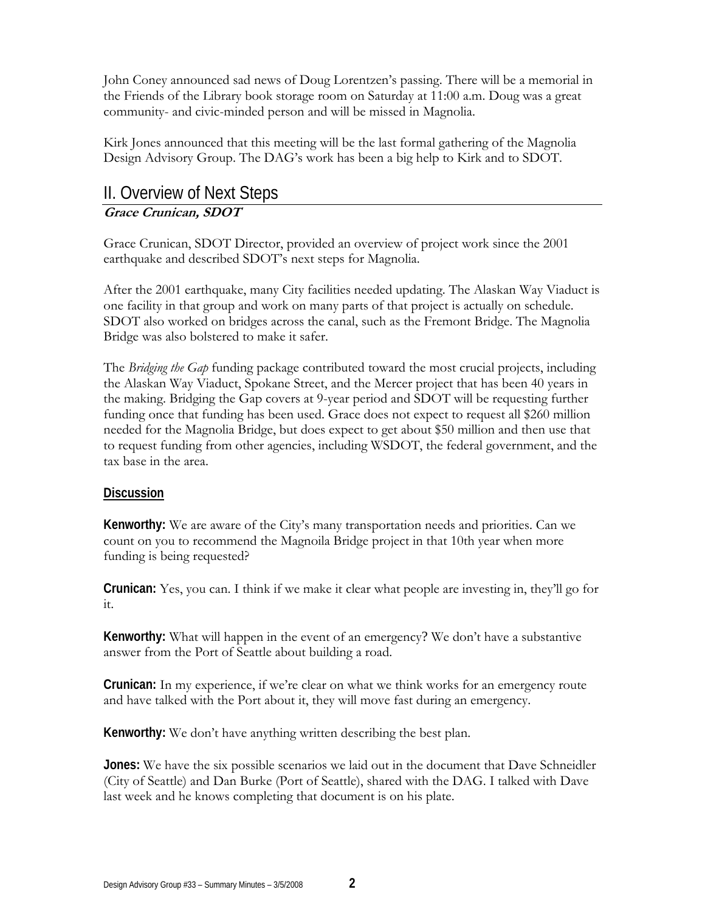John Coney announced sad news of Doug Lorentzen's passing. There will be a memorial in the Friends of the Library book storage room on Saturday at 11:00 a.m. Doug was a great community- and civic-minded person and will be missed in Magnolia.

Kirk Jones announced that this meeting will be the last formal gathering of the Magnolia Design Advisory Group. The DAG's work has been a big help to Kirk and to SDOT.

## II. Overview of Next Steps **Grace Crunican, SDOT**

Grace Crunican, SDOT Director, provided an overview of project work since the 2001 earthquake and described SDOT's next steps for Magnolia.

After the 2001 earthquake, many City facilities needed updating. The Alaskan Way Viaduct is one facility in that group and work on many parts of that project is actually on schedule. SDOT also worked on bridges across the canal, such as the Fremont Bridge. The Magnolia Bridge was also bolstered to make it safer.

The *Bridging the Gap* funding package contributed toward the most crucial projects, including the Alaskan Way Viaduct, Spokane Street, and the Mercer project that has been 40 years in the making. Bridging the Gap covers at 9-year period and SDOT will be requesting further funding once that funding has been used. Grace does not expect to request all \$260 million needed for the Magnolia Bridge, but does expect to get about \$50 million and then use that to request funding from other agencies, including WSDOT, the federal government, and the tax base in the area.

#### **Discussion**

**Kenworthy:** We are aware of the City's many transportation needs and priorities. Can we count on you to recommend the Magnoila Bridge project in that 10th year when more funding is being requested?

**Crunican:** Yes, you can. I think if we make it clear what people are investing in, they'll go for it.

**Kenworthy:** What will happen in the event of an emergency? We don't have a substantive answer from the Port of Seattle about building a road.

**Crunican:** In my experience, if we're clear on what we think works for an emergency route and have talked with the Port about it, they will move fast during an emergency.

**Kenworthy:** We don't have anything written describing the best plan.

**Jones:** We have the six possible scenarios we laid out in the document that Dave Schneidler (City of Seattle) and Dan Burke (Port of Seattle), shared with the DAG. I talked with Dave last week and he knows completing that document is on his plate.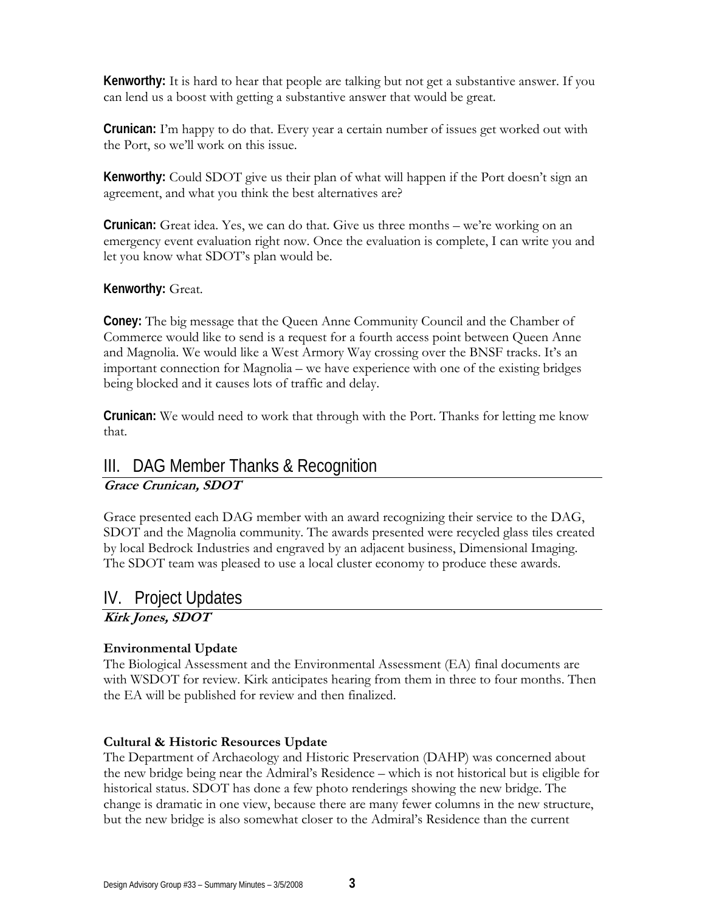**Kenworthy:** It is hard to hear that people are talking but not get a substantive answer. If you can lend us a boost with getting a substantive answer that would be great.

**Crunican:** I'm happy to do that. Every year a certain number of issues get worked out with the Port, so we'll work on this issue.

**Kenworthy:** Could SDOT give us their plan of what will happen if the Port doesn't sign an agreement, and what you think the best alternatives are?

**Crunican:** Great idea. Yes, we can do that. Give us three months – we're working on an emergency event evaluation right now. Once the evaluation is complete, I can write you and let you know what SDOT's plan would be.

### **Kenworthy:** Great.

**Coney:** The big message that the Queen Anne Community Council and the Chamber of Commerce would like to send is a request for a fourth access point between Queen Anne and Magnolia. We would like a West Armory Way crossing over the BNSF tracks. It's an important connection for Magnolia – we have experience with one of the existing bridges being blocked and it causes lots of traffic and delay.

**Crunican:** We would need to work that through with the Port. Thanks for letting me know that.

# III. DAG Member Thanks & Recognition

## **Grace Crunican, SDOT**

Grace presented each DAG member with an award recognizing their service to the DAG, SDOT and the Magnolia community. The awards presented were recycled glass tiles created by local Bedrock Industries and engraved by an adjacent business, Dimensional Imaging. The SDOT team was pleased to use a local cluster economy to produce these awards.

# IV. Project Updates

**Kirk Jones, SDOT** 

#### **Environmental Update**

The Biological Assessment and the Environmental Assessment (EA) final documents are with WSDOT for review. Kirk anticipates hearing from them in three to four months. Then the EA will be published for review and then finalized.

#### **Cultural & Historic Resources Update**

The Department of Archaeology and Historic Preservation (DAHP) was concerned about the new bridge being near the Admiral's Residence – which is not historical but is eligible for historical status. SDOT has done a few photo renderings showing the new bridge. The change is dramatic in one view, because there are many fewer columns in the new structure, but the new bridge is also somewhat closer to the Admiral's Residence than the current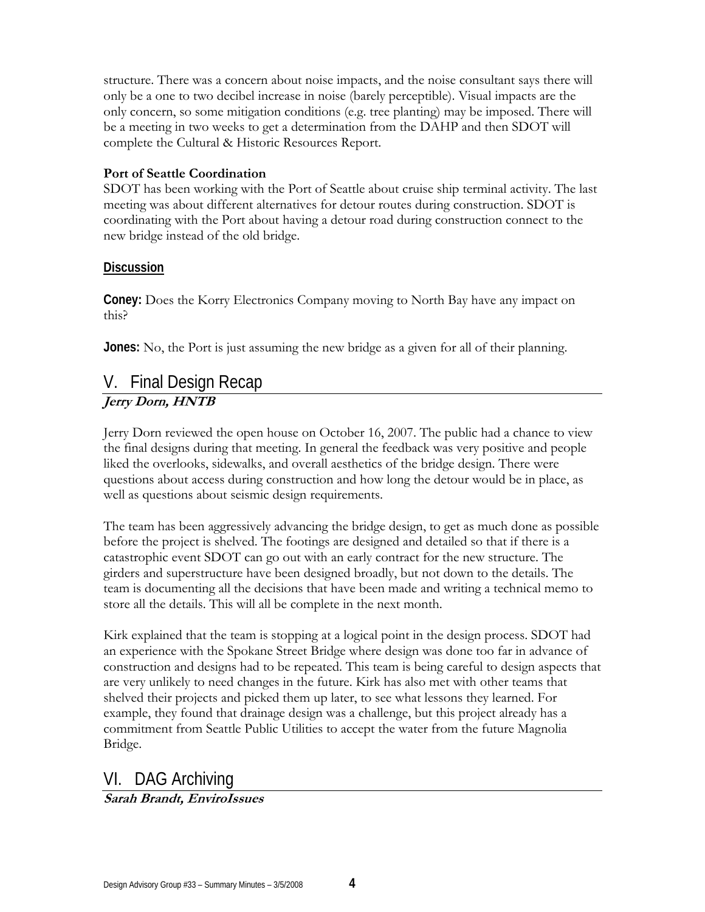structure. There was a concern about noise impacts, and the noise consultant says there will only be a one to two decibel increase in noise (barely perceptible). Visual impacts are the only concern, so some mitigation conditions (e.g. tree planting) may be imposed. There will be a meeting in two weeks to get a determination from the DAHP and then SDOT will complete the Cultural & Historic Resources Report.

#### **Port of Seattle Coordination**

SDOT has been working with the Port of Seattle about cruise ship terminal activity. The last meeting was about different alternatives for detour routes during construction. SDOT is coordinating with the Port about having a detour road during construction connect to the new bridge instead of the old bridge.

#### **Discussion**

**Coney:** Does the Korry Electronics Company moving to North Bay have any impact on this?

**Jones:** No, the Port is just assuming the new bridge as a given for all of their planning.

## V. Final Design Recap **Jerry Dorn, HNTB**

Jerry Dorn reviewed the open house on October 16, 2007. The public had a chance to view the final designs during that meeting. In general the feedback was very positive and people liked the overlooks, sidewalks, and overall aesthetics of the bridge design. There were questions about access during construction and how long the detour would be in place, as well as questions about seismic design requirements.

The team has been aggressively advancing the bridge design, to get as much done as possible before the project is shelved. The footings are designed and detailed so that if there is a catastrophic event SDOT can go out with an early contract for the new structure. The girders and superstructure have been designed broadly, but not down to the details. The team is documenting all the decisions that have been made and writing a technical memo to store all the details. This will all be complete in the next month.

Kirk explained that the team is stopping at a logical point in the design process. SDOT had an experience with the Spokane Street Bridge where design was done too far in advance of construction and designs had to be repeated. This team is being careful to design aspects that are very unlikely to need changes in the future. Kirk has also met with other teams that shelved their projects and picked them up later, to see what lessons they learned. For example, they found that drainage design was a challenge, but this project already has a commitment from Seattle Public Utilities to accept the water from the future Magnolia Bridge.

## VI. DAG Archiving

**Sarah Brandt, EnviroIssues**